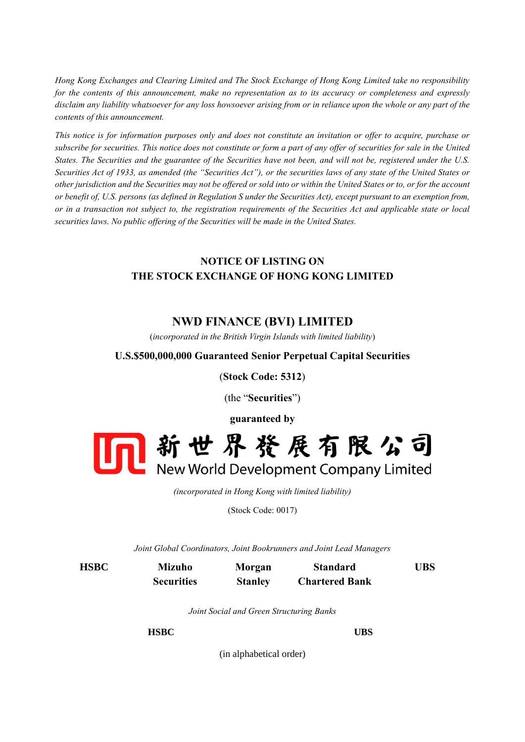*Hong Kong Exchanges and Clearing Limited and The Stock Exchange of Hong Kong Limited take no responsibility for the contents of this announcement, make no representation as to its accuracy or completeness and expressly disclaim any liability whatsoever for any loss howsoever arising from or in reliance upon the whole or any part of the contents of this announcement.*

*This notice is for information purposes only and does not constitute an invitation or offer to acquire, purchase or subscribe for securities. This notice does not constitute or form a part of any offer of securities for sale in the United States. The Securities and the guarantee of the Securities have not been, and will not be, registered under the U.S. Securities Act of 1933, as amended (the "Securities Act"), or the securities laws of any state of the United States or other jurisdiction and the Securities may not be offered or sold into or within the United States or to, or for the account or benefit of, U.S. persons (as defined in Regulation S under the Securities Act), except pursuant to an exemption from, or in a transaction not subject to, the registration requirements of the Securities Act and applicable state or local securities laws. No public offering of the Securities will be made in the United States.* 

## **NOTICE OF LISTING ON THE STOCK EXCHANGE OF HONG KONG LIMITED**

## **NWD FINANCE (BVI) LIMITED**

(*incorporated in the British Virgin Islands with limited liability*)

## **U.S.\$500,000,000 Guaranteed Senior Perpetual Capital Securities**

(**Stock Code: 5312**)

(the "**Securities**")



*(incorporated in Hong Kong with limited liability)*

(Stock Code: 0017)

*Joint Global Coordinators, Joint Bookrunners and Joint Lead Managers*

**HSBC Mizuho Securities Morgan Stanley Standard Chartered Bank UBS**

*Joint Social and Green Structuring Banks*

**HSBC UBS**

(in alphabetical order)